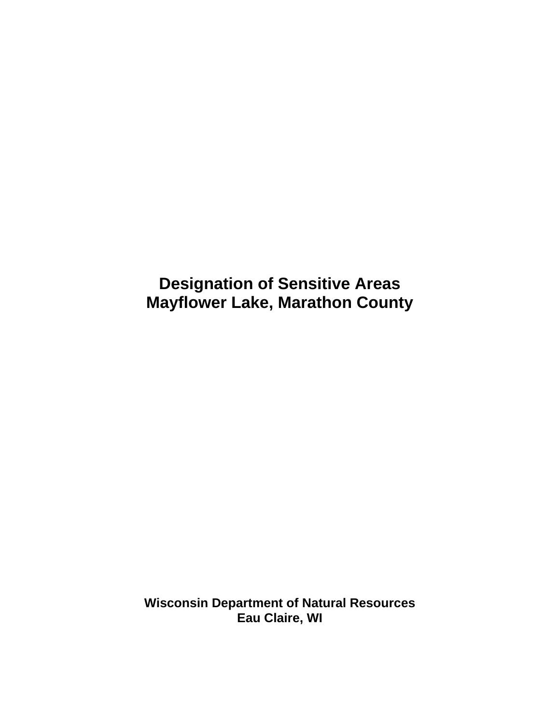**Designation of Sensitive Areas Mayflower Lake, Marathon County** 

**Wisconsin Department of Natural Resources Eau Claire, WI**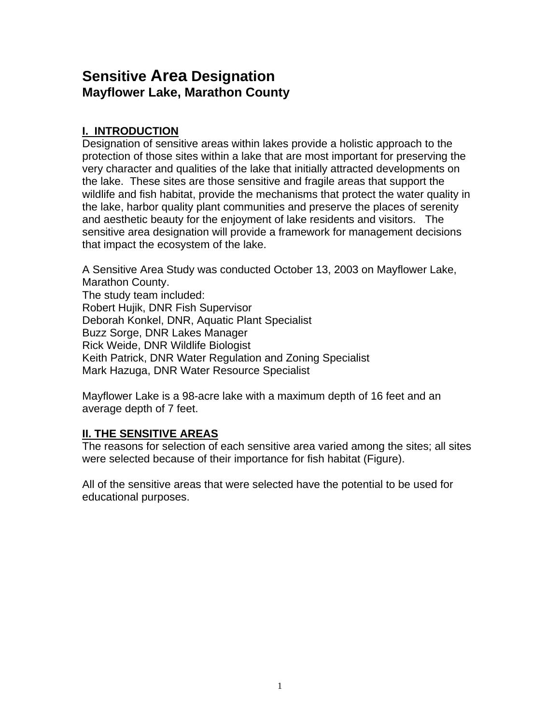# **Sensitive Area Designation Mayflower Lake, Marathon County**

# **I. INTRODUCTION**

Designation of sensitive areas within lakes provide a holistic approach to the protection of those sites within a lake that are most important for preserving the very character and qualities of the lake that initially attracted developments on the lake. These sites are those sensitive and fragile areas that support the wildlife and fish habitat, provide the mechanisms that protect the water quality in the lake, harbor quality plant communities and preserve the places of serenity and aesthetic beauty for the enjoyment of lake residents and visitors. The sensitive area designation will provide a framework for management decisions that impact the ecosystem of the lake.

A Sensitive Area Study was conducted October 13, 2003 on Mayflower Lake, Marathon County. The study team included: Robert Hujik, DNR Fish Supervisor Deborah Konkel, DNR, Aquatic Plant Specialist Buzz Sorge, DNR Lakes Manager Rick Weide, DNR Wildlife Biologist Keith Patrick, DNR Water Regulation and Zoning Specialist Mark Hazuga, DNR Water Resource Specialist

Mayflower Lake is a 98-acre lake with a maximum depth of 16 feet and an average depth of 7 feet.

# **II. THE SENSITIVE AREAS**

The reasons for selection of each sensitive area varied among the sites; all sites were selected because of their importance for fish habitat (Figure).

All of the sensitive areas that were selected have the potential to be used for educational purposes.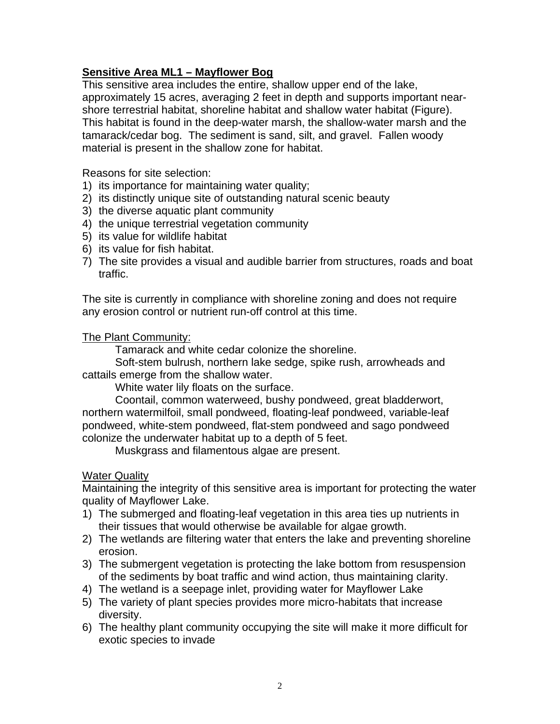## **Sensitive Area ML1 – Mayflower Bog**

This sensitive area includes the entire, shallow upper end of the lake, approximately 15 acres, averaging 2 feet in depth and supports important nearshore terrestrial habitat, shoreline habitat and shallow water habitat (Figure). This habitat is found in the deep-water marsh, the shallow-water marsh and the tamarack/cedar bog. The sediment is sand, silt, and gravel. Fallen woody material is present in the shallow zone for habitat.

Reasons for site selection:

- 1) its importance for maintaining water quality;
- 2) its distinctly unique site of outstanding natural scenic beauty
- 3) the diverse aquatic plant community
- 4) the unique terrestrial vegetation community
- 5) its value for wildlife habitat
- 6) its value for fish habitat.
- 7) The site provides a visual and audible barrier from structures, roads and boat traffic.

The site is currently in compliance with shoreline zoning and does not require any erosion control or nutrient run-off control at this time.

#### The Plant Community:

Tamarack and white cedar colonize the shoreline.

Soft-stem bulrush, northern lake sedge, spike rush, arrowheads and cattails emerge from the shallow water.

White water lily floats on the surface.

Coontail, common waterweed, bushy pondweed, great bladderwort, northern watermilfoil, small pondweed, floating-leaf pondweed, variable-leaf pondweed, white-stem pondweed, flat-stem pondweed and sago pondweed colonize the underwater habitat up to a depth of 5 feet.

Muskgrass and filamentous algae are present.

#### Water Quality

Maintaining the integrity of this sensitive area is important for protecting the water quality of Mayflower Lake.

- 1) The submerged and floating-leaf vegetation in this area ties up nutrients in their tissues that would otherwise be available for algae growth.
- 2) The wetlands are filtering water that enters the lake and preventing shoreline erosion.
- 3) The submergent vegetation is protecting the lake bottom from resuspension of the sediments by boat traffic and wind action, thus maintaining clarity.
- 4) The wetland is a seepage inlet, providing water for Mayflower Lake
- 5) The variety of plant species provides more micro-habitats that increase diversity.
- 6) The healthy plant community occupying the site will make it more difficult for exotic species to invade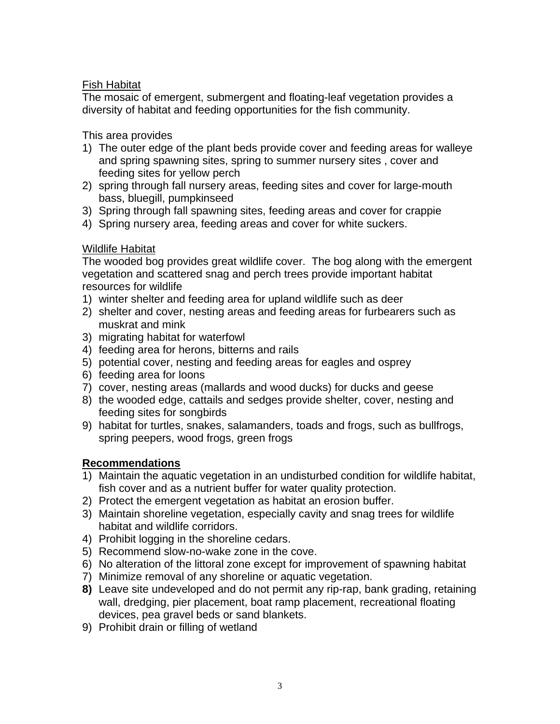## Fish Habitat

The mosaic of emergent, submergent and floating-leaf vegetation provides a diversity of habitat and feeding opportunities for the fish community.

### This area provides

- 1) The outer edge of the plant beds provide cover and feeding areas for walleye and spring spawning sites, spring to summer nursery sites , cover and feeding sites for yellow perch
- 2) spring through fall nursery areas, feeding sites and cover for large-mouth bass, bluegill, pumpkinseed
- 3) Spring through fall spawning sites, feeding areas and cover for crappie
- 4) Spring nursery area, feeding areas and cover for white suckers.

## Wildlife Habitat

The wooded bog provides great wildlife cover. The bog along with the emergent vegetation and scattered snag and perch trees provide important habitat resources for wildlife

- 1) winter shelter and feeding area for upland wildlife such as deer
- 2) shelter and cover, nesting areas and feeding areas for furbearers such as muskrat and mink
- 3) migrating habitat for waterfowl
- 4) feeding area for herons, bitterns and rails
- 5) potential cover, nesting and feeding areas for eagles and osprey
- 6) feeding area for loons
- 7) cover, nesting areas (mallards and wood ducks) for ducks and geese
- 8) the wooded edge, cattails and sedges provide shelter, cover, nesting and feeding sites for songbirds
- 9) habitat for turtles, snakes, salamanders, toads and frogs, such as bullfrogs, spring peepers, wood frogs, green frogs

## **Recommendations**

- 1) Maintain the aquatic vegetation in an undisturbed condition for wildlife habitat, fish cover and as a nutrient buffer for water quality protection.
- 2) Protect the emergent vegetation as habitat an erosion buffer.
- 3) Maintain shoreline vegetation, especially cavity and snag trees for wildlife habitat and wildlife corridors.
- 4) Prohibit logging in the shoreline cedars.
- 5) Recommend slow-no-wake zone in the cove.
- 6) No alteration of the littoral zone except for improvement of spawning habitat
- 7) Minimize removal of any shoreline or aquatic vegetation.
- **8)** Leave site undeveloped and do not permit any rip-rap, bank grading, retaining wall, dredging, pier placement, boat ramp placement, recreational floating devices, pea gravel beds or sand blankets.
- 9) Prohibit drain or filling of wetland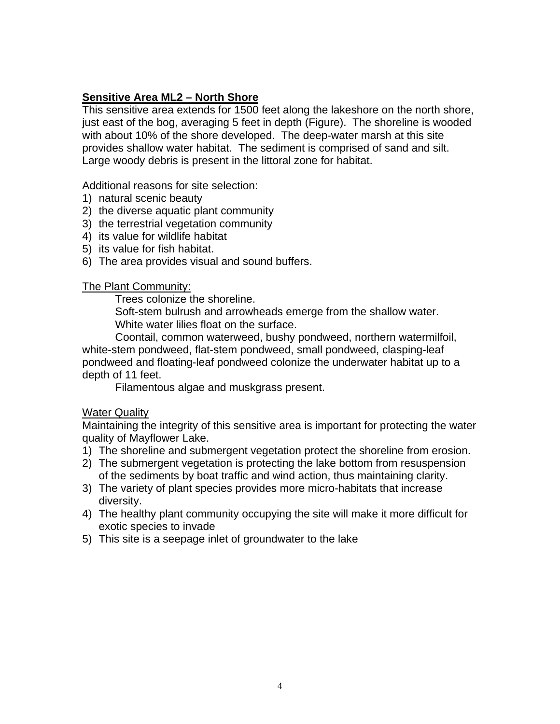#### **Sensitive Area ML2 – North Shore**

This sensitive area extends for 1500 feet along the lakeshore on the north shore, just east of the bog, averaging 5 feet in depth (Figure). The shoreline is wooded with about 10% of the shore developed. The deep-water marsh at this site provides shallow water habitat. The sediment is comprised of sand and silt. Large woody debris is present in the littoral zone for habitat.

Additional reasons for site selection:

- 1) natural scenic beauty
- 2) the diverse aquatic plant community
- 3) the terrestrial vegetation community
- 4) its value for wildlife habitat
- 5) its value for fish habitat.
- 6) The area provides visual and sound buffers.

#### The Plant Community:

Trees colonize the shoreline.

Soft-stem bulrush and arrowheads emerge from the shallow water. White water lilies float on the surface.

Coontail, common waterweed, bushy pondweed, northern watermilfoil, white-stem pondweed, flat-stem pondweed, small pondweed, clasping-leaf pondweed and floating-leaf pondweed colonize the underwater habitat up to a depth of 11 feet.

Filamentous algae and muskgrass present.

#### Water Quality

Maintaining the integrity of this sensitive area is important for protecting the water quality of Mayflower Lake.

- 1) The shoreline and submergent vegetation protect the shoreline from erosion.
- 2) The submergent vegetation is protecting the lake bottom from resuspension of the sediments by boat traffic and wind action, thus maintaining clarity.
- 3) The variety of plant species provides more micro-habitats that increase diversity.
- 4) The healthy plant community occupying the site will make it more difficult for exotic species to invade
- 5) This site is a seepage inlet of groundwater to the lake